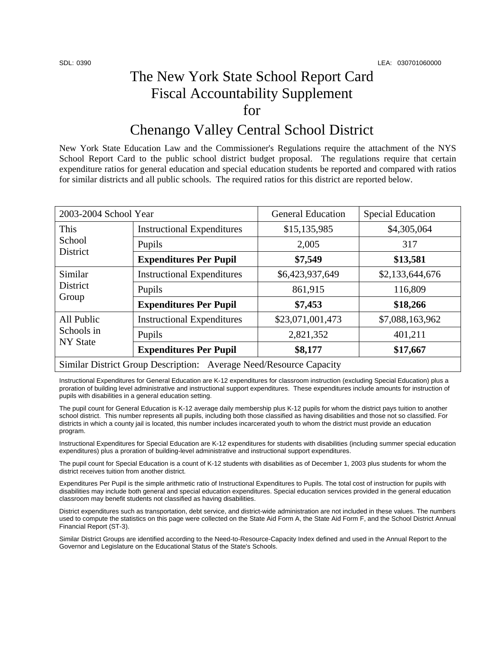## The New York State School Report Card Fiscal Accountability Supplement for

## Chenango Valley Central School District

New York State Education Law and the Commissioner's Regulations require the attachment of the NYS School Report Card to the public school district budget proposal. The regulations require that certain expenditure ratios for general education and special education students be reported and compared with ratios for similar districts and all public schools. The required ratios for this district are reported below.

| 2003-2004 School Year                                              |                                   | <b>General Education</b> | <b>Special Education</b> |  |  |
|--------------------------------------------------------------------|-----------------------------------|--------------------------|--------------------------|--|--|
| This<br>School<br>District                                         | <b>Instructional Expenditures</b> | \$15,135,985             | \$4,305,064              |  |  |
|                                                                    | Pupils                            | 2,005                    | 317                      |  |  |
|                                                                    | <b>Expenditures Per Pupil</b>     | \$7,549                  | \$13,581                 |  |  |
| Similar<br>District<br>Group                                       | <b>Instructional Expenditures</b> | \$6,423,937,649          | \$2,133,644,676          |  |  |
|                                                                    | Pupils                            | 861,915                  | 116,809                  |  |  |
|                                                                    | <b>Expenditures Per Pupil</b>     | \$7,453                  | \$18,266                 |  |  |
| All Public<br>Schools in<br><b>NY</b> State                        | <b>Instructional Expenditures</b> | \$23,071,001,473         | \$7,088,163,962          |  |  |
|                                                                    | Pupils                            | 2,821,352                | 401,211                  |  |  |
|                                                                    | <b>Expenditures Per Pupil</b>     | \$8,177                  | \$17,667                 |  |  |
| Similar District Group Description: Average Need/Resource Capacity |                                   |                          |                          |  |  |

Instructional Expenditures for General Education are K-12 expenditures for classroom instruction (excluding Special Education) plus a proration of building level administrative and instructional support expenditures. These expenditures include amounts for instruction of pupils with disabilities in a general education setting.

The pupil count for General Education is K-12 average daily membership plus K-12 pupils for whom the district pays tuition to another school district. This number represents all pupils, including both those classified as having disabilities and those not so classified. For districts in which a county jail is located, this number includes incarcerated youth to whom the district must provide an education program.

Instructional Expenditures for Special Education are K-12 expenditures for students with disabilities (including summer special education expenditures) plus a proration of building-level administrative and instructional support expenditures.

The pupil count for Special Education is a count of K-12 students with disabilities as of December 1, 2003 plus students for whom the district receives tuition from another district.

Expenditures Per Pupil is the simple arithmetic ratio of Instructional Expenditures to Pupils. The total cost of instruction for pupils with disabilities may include both general and special education expenditures. Special education services provided in the general education classroom may benefit students not classified as having disabilities.

District expenditures such as transportation, debt service, and district-wide administration are not included in these values. The numbers used to compute the statistics on this page were collected on the State Aid Form A, the State Aid Form F, and the School District Annual Financial Report (ST-3).

Similar District Groups are identified according to the Need-to-Resource-Capacity Index defined and used in the Annual Report to the Governor and Legislature on the Educational Status of the State's Schools.